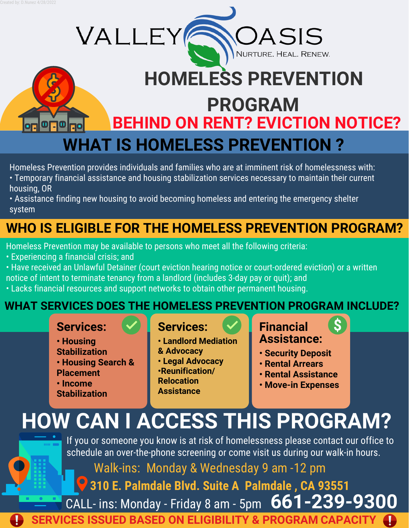$\blacksquare$ 



Homeless Prevention provides individuals and families who are at imminent risk of homelessness with:

- Temporary financial assistance and housing stabilization services necessary to maintain their current housing, OR
- Assistance finding new housing to avoid becoming homeless and entering the emergency shelter system

## **WHO IS ELIGIBLE FOR THE HOMELESS PREVENTION PROGRAM?**

Homeless Prevention may be available to persons who meet all the following criteria:

VALLEY

- Experiencing a financial crisis; and
- Have received an Unlawful Detainer (court eviction hearing notice or court-ordered eviction) or a written notice of intent to terminate tenancy from a landlord (includes 3-day pay or quit); and
- 
- Lacks financial resources and support networks to obtain other permanent housing.

### **WHAT SERVICES DOES THE HOMELESS PREVENTION PROGRAM INCLUDE?**

### **Services:**

- **Housing Stabilization • Housing Search & Placement • Income**
- **Stabilization**

### **Services:**

**Assistance**

**• Landlord Mediation & Advocacy • Legal Advocacy •Reunification/ Relocation** 

### **Financial Assistance:**

 $\mathcal{S}$ 

J.

ASIS

NURTURE. HEAL. RENEW.

- **Security Deposit**
- **Rental Arrears**
- **Rental Assistance**
- **Move-in Expenses**

# **HOW CAN I ACCESS THIS PROGRAM?**

If you or someone you know is at risk of homelessness please contact our office to schedule an over-the-phone screening or come visit us during our walk-in hours.

Walk-ins: Monday & Wednesday 9 am -12 pm

**310 E. Palmdale Blvd. Suite A Palmdale , CA 93551**

**661-239-9300** CALL- ins: Monday - Friday 8 am - 5pm

**SERVICES ISSUED BASED ON ELIGIBILITY & PROGRAM CAPACITY**